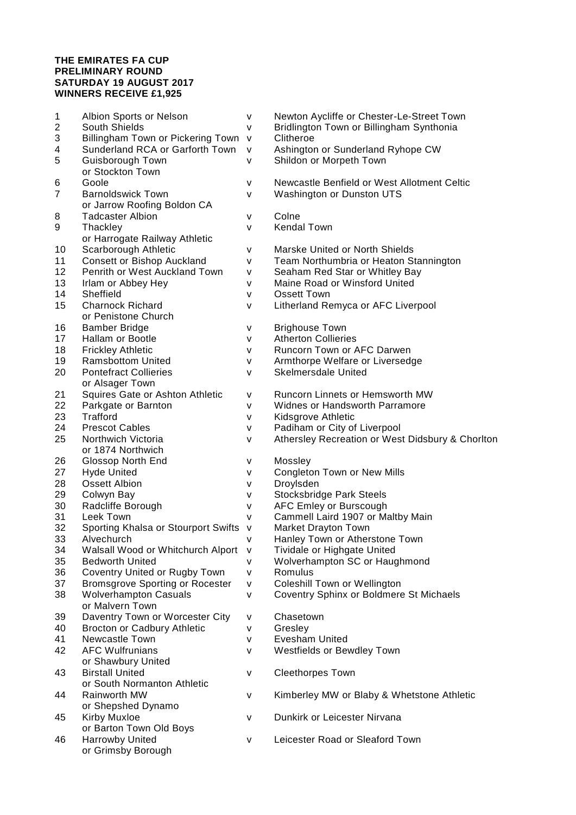## **THE EMIRATES FA CUP PRELIMINARY ROUND SATURDAY 19 AUGUST 2017 WINNERS RECEIVE £1,925**

| 1                       | Albion Sports or Nelson                | ۷            | Newton Aycliffe or Chester-Le-Street Town        |
|-------------------------|----------------------------------------|--------------|--------------------------------------------------|
| $\overline{\mathbf{c}}$ | South Shields                          | ۷            | Bridlington Town or Billingham Synthonia         |
| 3                       | Billingham Town or Pickering Town      | $\mathsf{v}$ | Clitheroe                                        |
| 4                       | Sunderland RCA or Garforth Town        | $\mathsf{v}$ | Ashington or Sunderland Ryhope CW                |
| 5                       | Guisborough Town                       | $\mathsf{V}$ | Shildon or Morpeth Town                          |
|                         | or Stockton Town                       |              |                                                  |
| 6                       | Goole                                  | ۷            | Newcastle Benfield or West Allotment Celtic      |
| 7                       | <b>Barnoldswick Town</b>               | v            | Washington or Dunston UTS                        |
|                         | or Jarrow Roofing Boldon CA            |              |                                                  |
| 8                       | <b>Tadcaster Albion</b>                | ۷            | Colne                                            |
| 9                       | Thackley                               | v            | <b>Kendal Town</b>                               |
|                         | or Harrogate Railway Athletic          |              |                                                  |
| 10                      | Scarborough Athletic                   | ۷            | Marske United or North Shields                   |
| 11                      | <b>Consett or Bishop Auckland</b>      | v            | Team Northumbria or Heaton Stannington           |
| 12                      | Penrith or West Auckland Town          | ۷            | Seaham Red Star or Whitley Bay                   |
| 13                      | Irlam or Abbey Hey                     | v            | Maine Road or Winsford United                    |
| 14                      | Sheffield                              | v            | Ossett Town                                      |
| 15                      | <b>Charnock Richard</b>                | v            | Litherland Remyca or AFC Liverpool               |
|                         | or Penistone Church                    |              |                                                  |
| 16                      | <b>Bamber Bridge</b>                   | v            | <b>Brighouse Town</b>                            |
| 17                      | <b>Hallam or Bootle</b>                | v            | <b>Atherton Collieries</b>                       |
| 18                      | <b>Frickley Athletic</b>               | ۷            | Runcorn Town or AFC Darwen                       |
| 19                      | <b>Ramsbottom United</b>               | ۷            | Armthorpe Welfare or Liversedge                  |
| 20                      | <b>Pontefract Collieries</b>           | ۷            | <b>Skelmersdale United</b>                       |
|                         | or Alsager Town                        |              |                                                  |
| 21                      | Squires Gate or Ashton Athletic        | v            | Runcorn Linnets or Hemsworth MW                  |
| 22                      | Parkgate or Barnton                    | ۷            | Widnes or Handsworth Parramore                   |
| 23                      | <b>Trafford</b>                        | V            | Kidsgrove Athletic                               |
| 24                      | <b>Prescot Cables</b>                  | v            | Padiham or City of Liverpool                     |
| 25                      | Northwich Victoria                     | v            | Athersley Recreation or West Didsbury & Chorlton |
|                         | or 1874 Northwich                      |              |                                                  |
| 26                      | Glossop North End                      | v            | Mossley                                          |
| 27                      | <b>Hyde United</b>                     | v            | Congleton Town or New Mills                      |
| 28                      | <b>Ossett Albion</b>                   | ۷            | Droylsden                                        |
| 29                      | Colwyn Bay                             | ۷            | <b>Stocksbridge Park Steels</b>                  |
| 30                      | Radcliffe Borough                      | ۷            | AFC Emley or Burscough                           |
| 31                      | Leek Town                              | v            | Cammell Laird 1907 or Maltby Main                |
| 32                      | Sporting Khalsa or Stourport Swifts    | ${\sf V}$    | Market Drayton Town                              |
| 33                      | Alvechurch                             | v            | Hanley Town or Atherstone Town                   |
| 34                      | Walsall Wood or Whitchurch Alport      | $\mathsf{v}$ | Tividale or Highgate United                      |
| 35                      | <b>Bedworth United</b>                 | v            | Wolverhampton SC or Haughmond                    |
| 36                      | Coventry United or Rugby Town          | v            | Romulus                                          |
| 37                      | <b>Bromsgrove Sporting or Rocester</b> | v            | Coleshill Town or Wellington                     |
| 38                      | <b>Wolverhampton Casuals</b>           | v            | Coventry Sphinx or Boldmere St Michaels          |
|                         | or Malvern Town                        |              |                                                  |
| 39                      | Daventry Town or Worcester City        | ۷            | Chasetown                                        |
| 40                      | <b>Brocton or Cadbury Athletic</b>     | ۷            | Gresley                                          |
| 41                      | Newcastle Town                         | ۷            | <b>Evesham United</b>                            |
| 42                      | <b>AFC Wulfrunians</b>                 | ۷            | Westfields or Bewdley Town                       |
|                         | or Shawbury United                     |              |                                                  |
| 43                      | <b>Birstall United</b>                 | V            | <b>Cleethorpes Town</b>                          |
|                         | or South Normanton Athletic            |              |                                                  |
| 44                      | Rainworth MW                           |              | Kimberley MW or Blaby & Whetstone Athletic       |
|                         | or Shepshed Dynamo                     | v            |                                                  |
| 45                      | <b>Kirby Muxloe</b>                    | v            | Dunkirk or Leicester Nirvana                     |
|                         | or Barton Town Old Boys                |              |                                                  |
| 46                      | Harrowby United                        | V            | Leicester Road or Sleaford Town                  |
|                         | or Grimsby Borough                     |              |                                                  |
|                         |                                        |              |                                                  |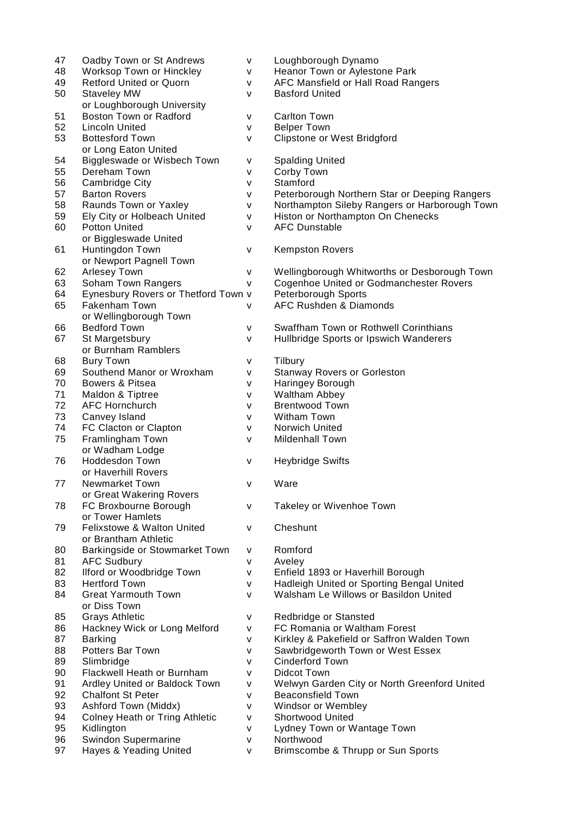| 47 | Oadby Town or St Andrews              | v | Loughborough Dynamo                           |
|----|---------------------------------------|---|-----------------------------------------------|
| 48 | Worksop Town or Hinckley              | v | Heanor Town or Aylestone Park                 |
| 49 | <b>Retford United or Quorn</b>        | ۷ | AFC Mansfield or Hall Road Rangers            |
| 50 | <b>Staveley MW</b>                    | v | <b>Basford United</b>                         |
|    | or Loughborough University            |   |                                               |
| 51 | Boston Town or Radford                | ۷ | <b>Carlton Town</b>                           |
| 52 | <b>Lincoln United</b>                 | v | <b>Belper Town</b>                            |
| 53 |                                       |   |                                               |
|    | <b>Bottesford Town</b>                | v | Clipstone or West Bridgford                   |
|    | or Long Eaton United                  |   |                                               |
| 54 | Biggleswade or Wisbech Town           | ۷ | <b>Spalding United</b>                        |
| 55 | Dereham Town                          | v | Corby Town                                    |
| 56 | Cambridge City                        | v | Stamford                                      |
| 57 | <b>Barton Rovers</b>                  | ٧ | Peterborough Northern Star or Deeping Rangers |
| 58 | Raunds Town or Yaxley                 | ٧ | Northampton Sileby Rangers or Harborough Town |
| 59 | Ely City or Holbeach United           | v | Histon or Northampton On Chenecks             |
| 60 | <b>Potton United</b>                  | v | <b>AFC Dunstable</b>                          |
|    | or Biggleswade United                 |   |                                               |
| 61 | Huntingdon Town                       | v | <b>Kempston Rovers</b>                        |
|    | or Newport Pagnell Town               |   |                                               |
| 62 | <b>Arlesey Town</b>                   | v | Wellingborough Whitworths or Desborough Town  |
| 63 | Soham Town Rangers                    |   | Cogenhoe United or Godmanchester Rovers       |
|    |                                       | ۷ |                                               |
| 64 | Eynesbury Rovers or Thetford Town v   |   | Peterborough Sports                           |
| 65 | Fakenham Town                         | v | <b>AFC Rushden &amp; Diamonds</b>             |
|    | or Wellingborough Town                |   |                                               |
| 66 | <b>Bedford Town</b>                   | v | Swaffham Town or Rothwell Corinthians         |
| 67 | St Margetsbury                        | v | Hullbridge Sports or Ipswich Wanderers        |
|    | or Burnham Ramblers                   |   |                                               |
| 68 | <b>Bury Town</b>                      | v | Tilbury                                       |
| 69 | Southend Manor or Wroxham             | v | <b>Stanway Rovers or Gorleston</b>            |
| 70 | Bowers & Pitsea                       | ۷ | Haringey Borough                              |
| 71 | Maldon & Tiptree                      | ۷ | Waltham Abbey                                 |
| 72 | <b>AFC Hornchurch</b>                 | ۷ | <b>Brentwood Town</b>                         |
| 73 | Canvey Island                         | ۷ | Witham Town                                   |
| 74 | FC Clacton or Clapton                 |   | Norwich United                                |
| 75 |                                       | ۷ |                                               |
|    | Framlingham Town                      | v | Mildenhall Town                               |
|    | or Wadham Lodge                       |   |                                               |
| 76 | Hoddesdon Town                        | V | <b>Heybridge Swifts</b>                       |
|    | or Haverhill Rovers                   |   |                                               |
| 77 | <b>Newmarket Town</b>                 | v | Ware                                          |
|    | or Great Wakering Rovers              |   |                                               |
| 78 | FC Broxbourne Borough                 | v | Takeley or Wivenhoe Town                      |
|    | or Tower Hamlets                      |   |                                               |
| 79 | Felixstowe & Walton United            | ۷ | Cheshunt                                      |
|    | or Brantham Athletic                  |   |                                               |
| 80 | Barkingside or Stowmarket Town        | v | Romford                                       |
| 81 | <b>AFC Sudbury</b>                    | v | Aveley                                        |
| 82 | Ilford or Woodbridge Town             | v | Enfield 1893 or Haverhill Borough             |
| 83 | <b>Hertford Town</b>                  | v | Hadleigh United or Sporting Bengal United     |
| 84 | <b>Great Yarmouth Town</b>            | v | Walsham Le Willows or Basildon United         |
|    | or Diss Town                          |   |                                               |
|    |                                       |   |                                               |
| 85 | <b>Grays Athletic</b>                 | v | Redbridge or Stansted                         |
| 86 | Hackney Wick or Long Melford          | ۷ | FC Romania or Waltham Forest                  |
| 87 | <b>Barking</b>                        | ۷ | Kirkley & Pakefield or Saffron Walden Town    |
| 88 | Potters Bar Town                      | ۷ | Sawbridgeworth Town or West Essex             |
| 89 | Slimbridge                            | v | <b>Cinderford Town</b>                        |
| 90 | Flackwell Heath or Burnham            | v | <b>Didcot Town</b>                            |
| 91 | Ardley United or Baldock Town         | ۷ | Welwyn Garden City or North Greenford United  |
| 92 | <b>Chalfont St Peter</b>              | ۷ | <b>Beaconsfield Town</b>                      |
| 93 | Ashford Town (Middx)                  | ۷ | Windsor or Wembley                            |
| 94 | <b>Colney Heath or Tring Athletic</b> | ۷ | Shortwood United                              |
| 95 | Kidlington                            | v | Lydney Town or Wantage Town                   |
| 96 | Swindon Supermarine                   | v | Northwood                                     |
| 97 | Hayes & Yeading United                | v | Brimscombe & Thrupp or Sun Sports             |
|    |                                       |   |                                               |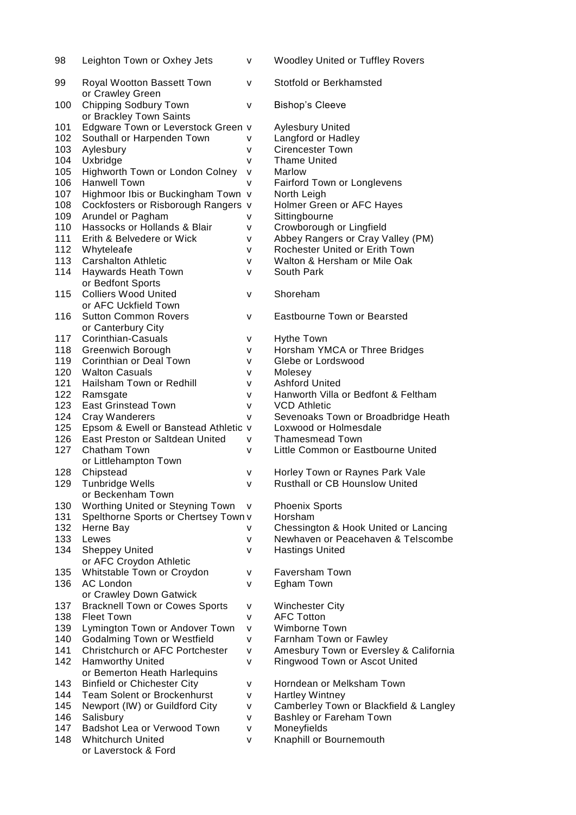| 98  | Leighton Town or Oxhey Jets                           | v            | <b>Woodley United or Tuffley Rovers</b> |
|-----|-------------------------------------------------------|--------------|-----------------------------------------|
| 99  | Royal Wootton Bassett Town<br>or Crawley Green        | v            | Stotfold or Berkhamsted                 |
| 100 | Chipping Sodbury Town<br>or Brackley Town Saints      | v            | <b>Bishop's Cleeve</b>                  |
| 101 | Edgware Town or Leverstock Green v                    |              | Aylesbury United                        |
| 102 | Southall or Harpenden Town                            | v            | Langford or Hadley                      |
| 103 | Aylesbury                                             | v            | <b>Cirencester Town</b>                 |
| 104 | Uxbridge                                              | v            | <b>Thame United</b>                     |
| 105 | Highworth Town or London Colney                       | v            | Marlow                                  |
| 106 | <b>Hanwell Town</b>                                   | $\mathsf{V}$ | <b>Fairford Town or Longlevens</b>      |
| 107 | Highmoor Ibis or Buckingham Town v                    |              | North Leigh                             |
| 108 | Cockfosters or Risborough Rangers v                   |              | Holmer Green or AFC Hayes               |
| 109 | Arundel or Pagham                                     | v            | Sittingbourne                           |
| 110 | Hassocks or Hollands & Blair                          | ۷            | Crowborough or Lingfield                |
| 111 | Erith & Belvedere or Wick                             | ۷            | Abbey Rangers or Cray Valley (PM)       |
| 112 | Whyteleafe                                            | v            | Rochester United or Erith Town          |
| 113 | <b>Carshalton Athletic</b>                            | ۷            | Walton & Hersham or Mile Oak            |
| 114 | Haywards Heath Town                                   | v            | South Park                              |
|     | or Bedfont Sports                                     |              |                                         |
| 115 | <b>Colliers Wood United</b>                           | v            | Shoreham                                |
|     | or AFC Uckfield Town                                  |              |                                         |
| 116 | <b>Sutton Common Rovers</b>                           | v            | Eastbourne Town or Bearsted             |
|     | or Canterbury City                                    |              |                                         |
| 117 | Corinthian-Casuals                                    | ۷            | <b>Hythe Town</b>                       |
| 118 | Greenwich Borough                                     | ۷            | Horsham YMCA or Three Bridges           |
| 119 | Corinthian or Deal Town                               | ۷            | Glebe or Lordswood                      |
| 120 | <b>Walton Casuals</b>                                 | ۷            | Molesey                                 |
| 121 | Hailsham Town or Redhill                              | ۷            | <b>Ashford United</b>                   |
| 122 | Ramsgate                                              | ۷            | Hanworth Villa or Bedfont & Feltham     |
| 123 | <b>East Grinstead Town</b>                            | v            | <b>VCD Athletic</b>                     |
| 124 | Cray Wanderers                                        | ۷            | Sevenoaks Town or Broadbridge Heath     |
| 125 | Epsom & Ewell or Banstead Athletic v                  |              | Loxwood or Holmesdale                   |
| 126 | East Preston or Saltdean United                       | v            | <b>Thamesmead Town</b>                  |
| 127 | <b>Chatham Town</b>                                   | v            | Little Common or Eastbourne United      |
|     | or Littlehampton Town                                 |              |                                         |
| 128 | Chipstead                                             | ۷            | Horley Town or Raynes Park Vale         |
| 129 | Tunbridge Wells                                       | v            | <b>Rusthall or CB Hounslow United</b>   |
|     | or Beckenham Town                                     |              |                                         |
| 130 | Worthing United or Steyning Town                      | v            | <b>Phoenix Sports</b>                   |
| 131 | Spelthorne Sports or Chertsey Town v                  |              | Horsham                                 |
| 132 | Herne Bay                                             | ۷            | Chessington & Hook United or Lancing    |
| 133 | Lewes                                                 | ۷            | Newhaven or Peacehaven & Telscombe      |
| 134 | <b>Sheppey United</b>                                 | v            | <b>Hastings United</b>                  |
| 135 | or AFC Croydon Athletic<br>Whitstable Town or Croydon |              | <b>Faversham Town</b>                   |
| 136 | <b>AC London</b>                                      | v<br>v       | Egham Town                              |
|     | or Crawley Down Gatwick                               |              |                                         |
| 137 | <b>Bracknell Town or Cowes Sports</b>                 | ۷            | <b>Winchester City</b>                  |
| 138 | <b>Fleet Town</b>                                     | v            | <b>AFC Totton</b>                       |
| 139 | Lymington Town or Andover Town                        | ۷            | Wimborne Town                           |
| 140 | Godalming Town or Westfield                           | v            | Farnham Town or Fawley                  |
| 141 | <b>Christchurch or AFC Portchester</b>                | ۷            | Amesbury Town or Eversley & California  |
| 142 | <b>Hamworthy United</b>                               | v            | Ringwood Town or Ascot United           |
|     | or Bemerton Heath Harlequins                          |              |                                         |
| 143 | <b>Binfield or Chichester City</b>                    | v            | Horndean or Melksham Town               |
| 144 | Team Solent or Brockenhurst                           | ۷            | <b>Hartley Wintney</b>                  |
| 145 | Newport (IW) or Guildford City                        | v            | Camberley Town or Blackfield & Langley  |
| 146 | Salisbury                                             | v            | Bashley or Fareham Town                 |
| 147 | Badshot Lea or Verwood Town                           | v            | Moneyfields                             |
| 148 | <b>Whitchurch United</b>                              | v            | Knaphill or Bournemouth                 |
|     | or Laverstock & Ford                                  |              |                                         |
|     |                                                       |              |                                         |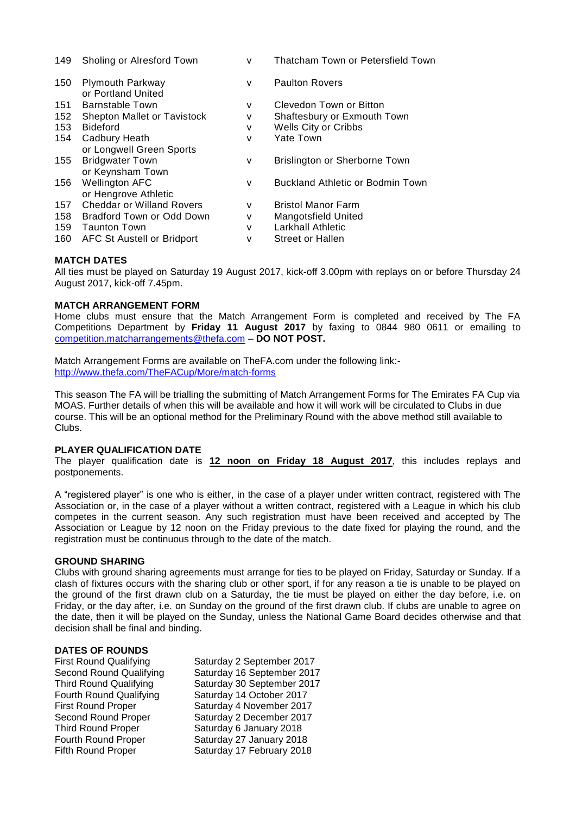| 149 | Sholing or Alresford Town                     | v | Thatcham Town or Petersfield Town       |
|-----|-----------------------------------------------|---|-----------------------------------------|
| 150 | <b>Plymouth Parkway</b><br>or Portland United | v | <b>Paulton Rovers</b>                   |
| 151 | <b>Barnstable Town</b>                        | ۷ | Clevedon Town or Bitton                 |
| 152 | Shepton Mallet or Tavistock                   | ۷ | Shaftesbury or Exmouth Town             |
| 153 | <b>Bideford</b>                               | v | Wells City or Cribbs                    |
| 154 | Cadbury Heath                                 | v | <b>Yate Town</b>                        |
|     | or Longwell Green Sports                      |   |                                         |
| 155 | <b>Bridgwater Town</b>                        | v | Brislington or Sherborne Town           |
|     | or Keynsham Town                              |   |                                         |
| 156 | <b>Wellington AFC</b>                         | v | <b>Buckland Athletic or Bodmin Town</b> |
|     | or Hengrove Athletic                          |   |                                         |
| 157 | <b>Cheddar or Willand Rovers</b>              | v | <b>Bristol Manor Farm</b>               |
| 158 | Bradford Town or Odd Down                     | ۷ | <b>Mangotsfield United</b>              |
| 159 | <b>Taunton Town</b>                           | v | Larkhall Athletic                       |
| 160 | AFC St Austell or Bridport                    | v | Street or Hallen                        |

### **MATCH DATES**

All ties must be played on Saturday 19 August 2017, kick-off 3.00pm with replays on or before Thursday 24 August 2017, kick-off 7.45pm.

#### **MATCH ARRANGEMENT FORM**

Home clubs must ensure that the Match Arrangement Form is completed and received by The FA Competitions Department by **Friday 11 August 2017** by faxing to 0844 980 0611 or emailing to [competition.matcharrangements@thefa.com](mailto:competition.matcharrangements@thefa.com) – **DO NOT POST.**

Match Arrangement Forms are available on TheFA.com under the following link: <http://www.thefa.com/TheFACup/More/match-forms>

This season The FA will be trialling the submitting of Match Arrangement Forms for The Emirates FA Cup via MOAS. Further details of when this will be available and how it will work will be circulated to Clubs in due course. This will be an optional method for the Preliminary Round with the above method still available to Clubs.

### **PLAYER QUALIFICATION DATE**

The player qualification date is **12 noon on Friday 18 August 2017**, this includes replays and postponements.

A "registered player" is one who is either, in the case of a player under written contract, registered with The Association or, in the case of a player without a written contract, registered with a League in which his club competes in the current season. Any such registration must have been received and accepted by The Association or League by 12 noon on the Friday previous to the date fixed for playing the round, and the registration must be continuous through to the date of the match.

#### **GROUND SHARING**

Clubs with ground sharing agreements must arrange for ties to be played on Friday, Saturday or Sunday. If a clash of fixtures occurs with the sharing club or other sport, if for any reason a tie is unable to be played on the ground of the first drawn club on a Saturday, the tie must be played on either the day before, i.e. on Friday, or the day after, i.e. on Sunday on the ground of the first drawn club. If clubs are unable to agree on the date, then it will be played on the Sunday, unless the National Game Board decides otherwise and that decision shall be final and binding.

#### **DATES OF ROUNDS**

First Round Qualifying Saturday 2 September 2017 Second Round Qualifying Saturday 16 September 2017 Third Round Qualifying Saturday 30 September 2017 Fourth Round Qualifying Saturday 14 October 2017 First Round Proper Saturday 4 November 2017 Second Round Proper Saturday 2 December 2017 Third Round Proper Saturday 6 January 2018 Fourth Round Proper Saturday 27 January 2018 Fifth Round Proper Saturday 17 February 2018